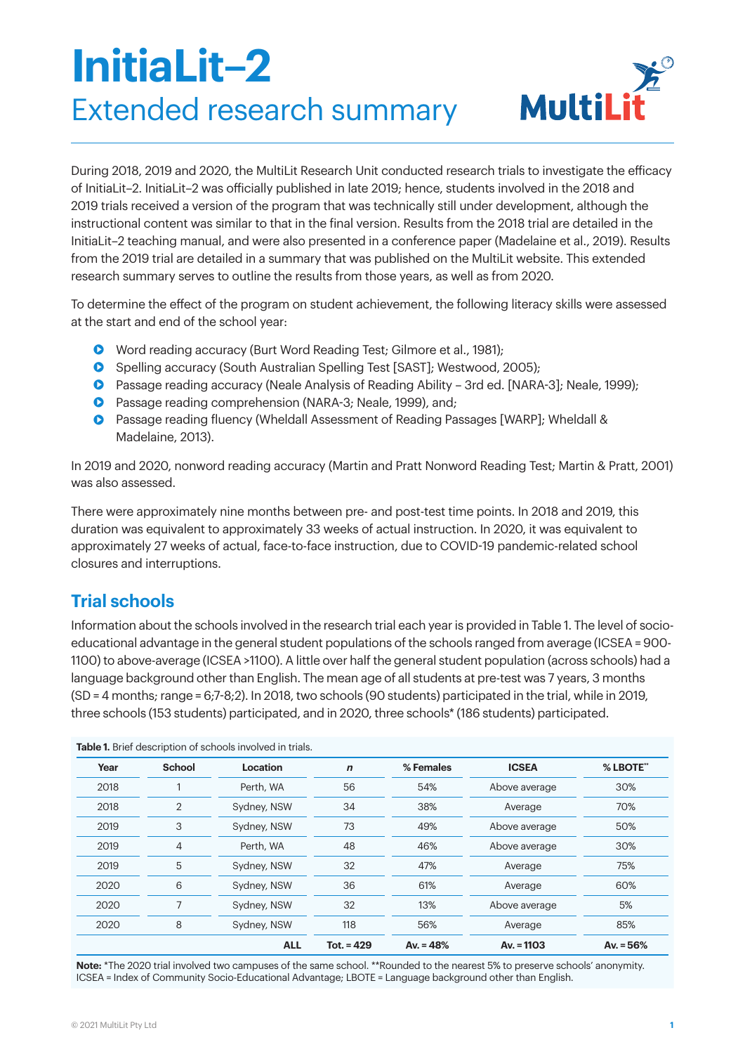# **InitiaLit–2** Extended research summary



During 2018, 2019 and 2020, the MultiLit Research Unit conducted research trials to investigate the efficacy of InitiaLit–2. InitiaLit–2 was officially published in late 2019; hence, students involved in the 2018 and 2019 trials received a version of the program that was technically still under development, although the instructional content was similar to that in the final version. Results from the 2018 trial are detailed in the InitiaLit–2 teaching manual, and were also presented in a conference paper (Madelaine et al., 2019). Results from the 2019 trial are detailed in a summary that was published on the MultiLit website. This extended research summary serves to outline the results from those years, as well as from 2020.

To determine the effect of the program on student achievement, the following literacy skills were assessed at the start and end of the school year:

- **•** Word reading accuracy (Burt Word Reading Test; Gilmore et al., 1981);
- **•** Spelling accuracy (South Australian Spelling Test [SAST]; Westwood, 2005);
- Passage reading accuracy (Neale Analysis of Reading Ability 3rd ed. [NARA-3]; Neale, 1999);
- **•** Passage reading comprehension (NARA-3; Neale, 1999), and;
- Passage reading fluency (Wheldall Assessment of Reading Passages [WARP]; Wheldall & Madelaine, 2013).

In 2019 and 2020, nonword reading accuracy (Martin and Pratt Nonword Reading Test; Martin & Pratt, 2001) was also assessed.

There were approximately nine months between pre- and post-test time points. In 2018 and 2019, this duration was equivalent to approximately 33 weeks of actual instruction. In 2020, it was equivalent to approximately 27 weeks of actual, face-to-face instruction, due to COVID-19 pandemic-related school closures and interruptions.

# **Trial schools**

**Table 1.** Brief description of schools involved in trials.

Information about the schools involved in the research trial each year is provided in Table 1. The level of socioeducational advantage in the general student populations of the schools ranged from average (ICSEA = 900- 1100) to above-average (ICSEA >1100). A little over half the general student population (across schools) had a language background other than English. The mean age of all students at pre-test was 7 years, 3 months (SD = 4 months; range = 6;7-8;2). In 2018, two schools (90 students) participated in the trial, while in 2019, three schools (153 students) participated, and in 2020, three schools\* (186 students) participated.

| Year | School         | Location    | $\mathbf n$  | % Females   | <b>ICSEA</b>  | % LBOTE**   |
|------|----------------|-------------|--------------|-------------|---------------|-------------|
| 2018 |                | Perth, WA   | 56           | 54%         | Above average | 30%         |
| 2018 | $\overline{2}$ | Sydney, NSW | 34           | 38%         | Average       | 70%         |
| 2019 | 3              | Sydney, NSW | 73           | 49%         | Above average | 50%         |
| 2019 | 4              | Perth, WA   | 48           | 46%         | Above average | 30%         |
| 2019 | 5              | Sydney, NSW | 32           | 47%         | Average       | 75%         |
| 2020 | 6              | Sydney, NSW | 36           | 61%         | Average       | 60%         |
| 2020 |                | Sydney, NSW | 32           | 13%         | Above average | 5%          |
| 2020 | 8              | Sydney, NSW | 118          | 56%         | Average       | 85%         |
|      |                | <b>ALL</b>  | $Tot. = 429$ | Av. $= 48%$ | Av. $= 1103$  | Av. $= 56%$ |

**Note:** \*The 2020 trial involved two campuses of the same school. \*\*Rounded to the nearest 5% to preserve schools' anonymity. ICSEA = Index of Community Socio-Educational Advantage; LBOTE = Language background other than English.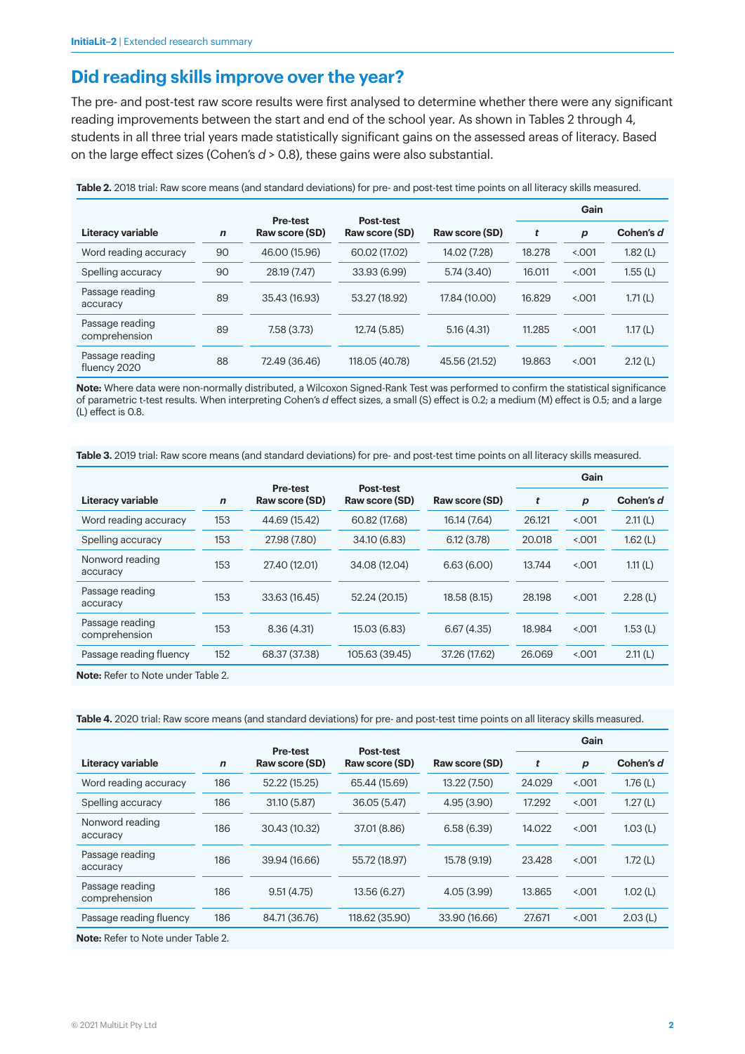# **Did reading skills improve over the year?**

The pre- and post-test raw score results were first analysed to determine whether there were any significant reading improvements between the start and end of the school year. As shown in Tables 2 through 4, students in all three trial years made statistically significant gains on the assessed areas of literacy. Based on the large effect sizes (Cohen's *d* > 0.8), these gains were also substantial.

|                                  |             |                                   |                                    |                |        | Gain    |           |
|----------------------------------|-------------|-----------------------------------|------------------------------------|----------------|--------|---------|-----------|
| Literacy variable                | $\mathbf n$ | <b>Pre-test</b><br>Raw score (SD) | <b>Post-test</b><br>Raw score (SD) | Raw score (SD) | t      | p       | Cohen's d |
| Word reading accuracy            | 90          | 46.00 (15.96)                     | 60.02 (17.02)                      | 14.02 (7.28)   | 18.278 | < 0.001 | 1.82(L)   |
| Spelling accuracy                | 90          | 28.19 (7.47)                      | 33.93 (6.99)                       | 5.74(3.40)     | 16.011 | 5.001   | 1.55(L)   |
| Passage reading<br>accuracy      | 89          | 35.43 (16.93)                     | 53.27 (18.92)                      | 17.84 (10.00)  | 16.829 | < 0.001 | 1.71(L)   |
| Passage reading<br>comprehension | 89          | 7.58 (3.73)                       | 12.74 (5.85)                       | 5.16(4.31)     | 11.285 | < 0.001 | 1.17(L)   |
| Passage reading<br>fluency 2020  | 88          | 72.49 (36.46)                     | 118.05 (40.78)                     | 45.56 (21.52)  | 19.863 | < 0.001 | 2.12(L)   |

**Table 2.** 2018 trial: Raw score means (and standard deviations) for pre- and post-test time points on all literacy skills measured.

**Note:** Where data were non-normally distributed, a Wilcoxon Signed-Rank Test was performed to confirm the statistical significance of parametric t-test results. When interpreting Cohen's *d* effect sizes, a small (S) effect is 0.2; a medium (M) effect is 0.5; and a large (L) effect is 0.8.

**Table 3.** 2019 trial: Raw score means (and standard deviations) for pre- and post-test time points on all literacy skills measured.

|                                  |             |                                   |                                    |                | Gain   |                  |           |
|----------------------------------|-------------|-----------------------------------|------------------------------------|----------------|--------|------------------|-----------|
| Literacy variable                | $\mathbf n$ | <b>Pre-test</b><br>Raw score (SD) | <b>Post-test</b><br>Raw score (SD) | Raw score (SD) | t      | $\boldsymbol{p}$ | Cohen's d |
| Word reading accuracy            | 153         | 44.69 (15.42)                     | 60.82 (17.68)                      | 16.14 (7.64)   | 26.121 | < 0.001          | 2.11(L)   |
| Spelling accuracy                | 153         | 27.98 (7.80)                      | 34.10 (6.83)                       | 6.12(3.78)     | 20.018 | 5.001            | 1.62(L)   |
| Nonword reading<br>accuracy      | 153         | 27.40 (12.01)                     | 34.08 (12.04)                      | 6.63(6.00)     | 13.744 | 5.001            | 1.11(L)   |
| Passage reading<br>accuracy      | 153         | 33.63 (16.45)                     | 52.24 (20.15)                      | 18.58 (8.15)   | 28.198 | 5.001            | 2.28(L)   |
| Passage reading<br>comprehension | 153         | 8.36(4.31)                        | 15.03 (6.83)                       | 6.67(4.35)     | 18.984 | 5.001            | 1.53(L)   |
| Passage reading fluency          | 152         | 68.37 (37.38)                     | 105.63 (39.45)                     | 37.26 (17.62)  | 26.069 | < 0.001          | 2.11(L)   |

**Note:** Refer to Note under Table 2.

**Table 4.** 2020 trial: Raw score means (and standard deviations) for pre- and post-test time points on all literacy skills measured.

|                                  |             |                                   |                                    |                | Gain   |                  |            |
|----------------------------------|-------------|-----------------------------------|------------------------------------|----------------|--------|------------------|------------|
| Literacy variable                | $\mathbf n$ | <b>Pre-test</b><br>Raw score (SD) | <b>Post-test</b><br>Raw score (SD) | Raw score (SD) | t      | $\boldsymbol{p}$ | Cohen's d  |
| Word reading accuracy            | 186         | 52.22 (15.25)                     | 65.44 (15.69)                      | 13.22 (7.50)   | 24.029 | 5.001            | 1.76 $(L)$ |
| Spelling accuracy                | 186         | 31.10 (5.87)                      | 36.05 (5.47)                       | 4.95(3.90)     | 17.292 | 5.001            | 1.27(L)    |
| Nonword reading<br>accuracy      | 186         | 30.43 (10.32)                     | 37.01 (8.86)                       | 6.58(6.39)     | 14.022 | 5.001            | 1.03(L)    |
| Passage reading<br>accuracy      | 186         | 39.94 (16.66)                     | 55.72 (18.97)                      | 15.78 (9.19)   | 23.428 | 5.001            | 1.72(L)    |
| Passage reading<br>comprehension | 186         | 9.51(4.75)                        | 13.56 (6.27)                       | 4.05(3.99)     | 13.865 | 5.001            | 1.02(L)    |
| Passage reading fluency          | 186         | 84.71 (36.76)                     | 118.62 (35.90)                     | 33.90 (16.66)  | 27.671 | 5.001            | 2.03(L)    |
|                                  |             |                                   |                                    |                |        |                  |            |

**Note:** Refer to Note under Table 2.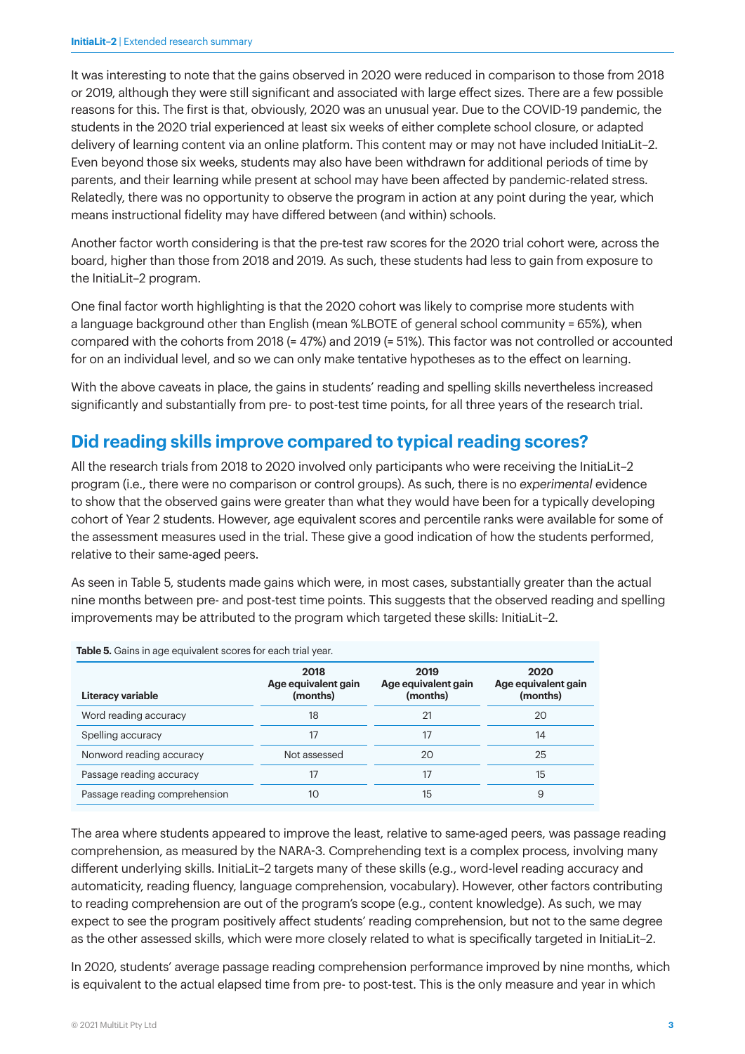It was interesting to note that the gains observed in 2020 were reduced in comparison to those from 2018 or 2019, although they were still significant and associated with large effect sizes. There are a few possible reasons for this. The first is that, obviously, 2020 was an unusual year. Due to the COVID-19 pandemic, the students in the 2020 trial experienced at least six weeks of either complete school closure, or adapted delivery of learning content via an online platform. This content may or may not have included InitiaLit–2. Even beyond those six weeks, students may also have been withdrawn for additional periods of time by parents, and their learning while present at school may have been affected by pandemic-related stress. Relatedly, there was no opportunity to observe the program in action at any point during the year, which means instructional fidelity may have differed between (and within) schools.

Another factor worth considering is that the pre-test raw scores for the 2020 trial cohort were, across the board, higher than those from 2018 and 2019. As such, these students had less to gain from exposure to the InitiaLit–2 program.

One final factor worth highlighting is that the 2020 cohort was likely to comprise more students with a language background other than English (mean %LBOTE of general school community = 65%), when compared with the cohorts from 2018 (= 47%) and 2019 (= 51%). This factor was not controlled or accounted for on an individual level, and so we can only make tentative hypotheses as to the effect on learning.

With the above caveats in place, the gains in students' reading and spelling skills nevertheless increased significantly and substantially from pre- to post-test time points, for all three years of the research trial.

# **Did reading skills improve compared to typical reading scores?**

All the research trials from 2018 to 2020 involved only participants who were receiving the InitiaLit–2 program (i.e., there were no comparison or control groups). As such, there is no *experimental* evidence to show that the observed gains were greater than what they would have been for a typically developing cohort of Year 2 students. However, age equivalent scores and percentile ranks were available for some of the assessment measures used in the trial. These give a good indication of how the students performed, relative to their same-aged peers.

As seen in Table 5, students made gains which were, in most cases, substantially greater than the actual nine months between pre- and post-test time points. This suggests that the observed reading and spelling improvements may be attributed to the program which targeted these skills: InitiaLit–2.

| Literacy variable             | 2018<br>Age equivalent gain<br>(months) | 2019<br>Age equivalent gain<br>(months) | 2020<br>Age equivalent gain<br>(months) |
|-------------------------------|-----------------------------------------|-----------------------------------------|-----------------------------------------|
| Word reading accuracy         | 18                                      | 21                                      | 20                                      |
| Spelling accuracy             | 17                                      | 17                                      | 14                                      |
| Nonword reading accuracy      | Not assessed                            | 20                                      | 25                                      |
| Passage reading accuracy      | 17                                      | 17                                      | 15                                      |
| Passage reading comprehension | 10                                      | 15                                      | 9                                       |

The area where students appeared to improve the least, relative to same-aged peers, was passage reading comprehension, as measured by the NARA-3. Comprehending text is a complex process, involving many different underlying skills. InitiaLit–2 targets many of these skills (e.g., word-level reading accuracy and automaticity, reading fluency, language comprehension, vocabulary). However, other factors contributing to reading comprehension are out of the program's scope (e.g., content knowledge). As such, we may expect to see the program positively affect students' reading comprehension, but not to the same degree as the other assessed skills, which were more closely related to what is specifically targeted in InitiaLit–2.

In 2020, students' average passage reading comprehension performance improved by nine months, which is equivalent to the actual elapsed time from pre- to post-test. This is the only measure and year in which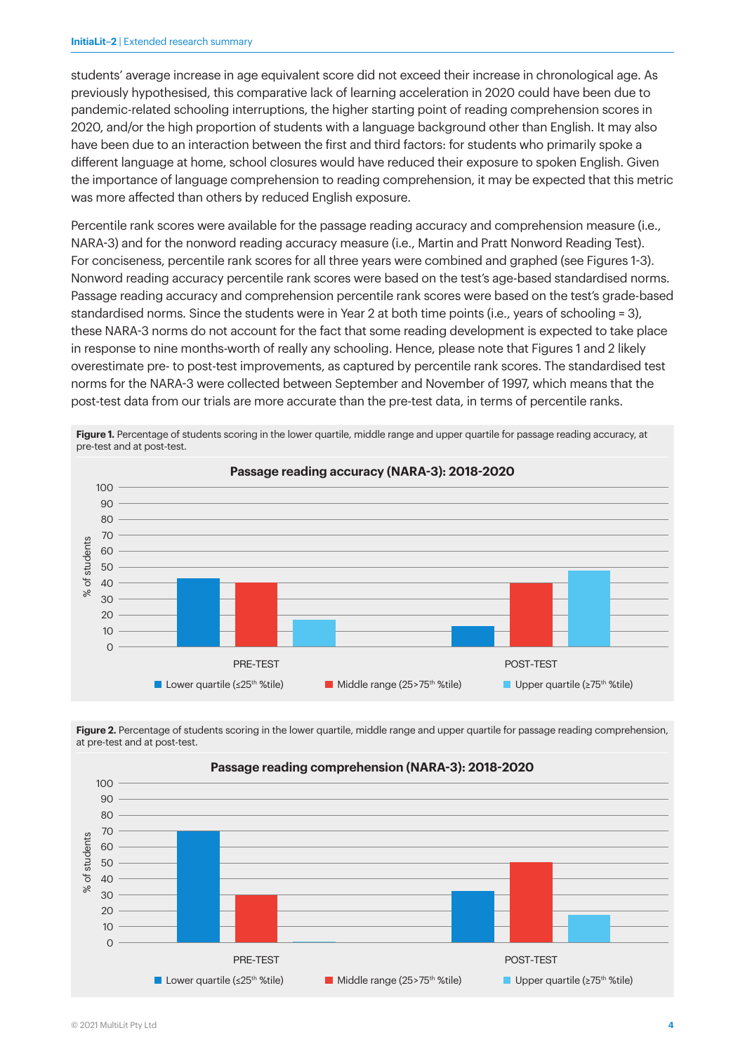students' average increase in age equivalent score did not exceed their increase in chronological age. As previously hypothesised, this comparative lack of learning acceleration in 2020 could have been due to pandemic-related schooling interruptions, the higher starting point of reading comprehension scores in 2020, and/or the high proportion of students with a language background other than English. It may also have been due to an interaction between the first and third factors: for students who primarily spoke a different language at home, school closures would have reduced their exposure to spoken English. Given the importance of language comprehension to reading comprehension, it may be expected that this metric was more affected than others by reduced English exposure.

Percentile rank scores were available for the passage reading accuracy and comprehension measure (i.e., NARA-3) and for the nonword reading accuracy measure (i.e., Martin and Pratt Nonword Reading Test). For conciseness, percentile rank scores for all three years were combined and graphed (see Figures 1-3). Nonword reading accuracy percentile rank scores were based on the test's age-based standardised norms. Passage reading accuracy and comprehension percentile rank scores were based on the test's grade-based standardised norms. Since the students were in Year 2 at both time points (i.e., years of schooling = 3), these NARA-3 norms do not account for the fact that some reading development is expected to take place in response to nine months-worth of really any schooling. Hence, please note that Figures 1 and 2 likely overestimate pre- to post-test improvements, as captured by percentile rank scores. The standardised test norms for the NARA-3 were collected between September and November of 1997, which means that the post-test data from our trials are more accurate than the pre-test data, in terms of percentile ranks.



**Figure 1.** Percentage of students scoring in the lower quartile, middle range and upper quartile for passage reading accuracy, at pre-test and at post-test.

Figure 2. Percentage of students scoring in the lower quartile, middle range and upper quartile for passage reading comprehension, at pre-test and at post-test.



**Passage reading comprehension (NARA-3): 2018-2020**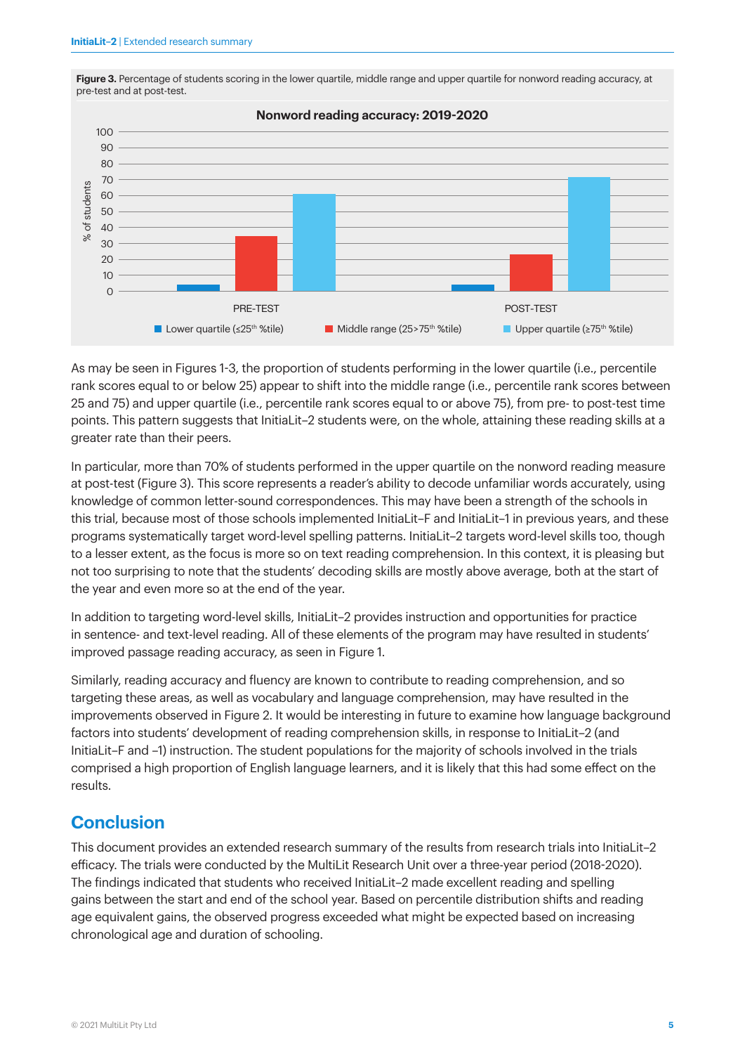

Figure 3. Percentage of students scoring in the lower quartile, middle range and upper quartile for nonword reading accuracy, at pre-test and at post-test.

As may be seen in Figures 1-3, the proportion of students performing in the lower quartile (i.e., percentile rank scores equal to or below 25) appear to shift into the middle range (i.e., percentile rank scores between 25 and 75) and upper quartile (i.e., percentile rank scores equal to or above 75), from pre- to post-test time points. This pattern suggests that InitiaLit–2 students were, on the whole, attaining these reading skills at a greater rate than their peers.

In particular, more than 70% of students performed in the upper quartile on the nonword reading measure at post-test (Figure 3). This score represents a reader's ability to decode unfamiliar words accurately, using knowledge of common letter-sound correspondences. This may have been a strength of the schools in this trial, because most of those schools implemented InitiaLit–F and InitiaLit–1 in previous years, and these programs systematically target word-level spelling patterns. InitiaLit–2 targets word-level skills too, though to a lesser extent, as the focus is more so on text reading comprehension. In this context, it is pleasing but not too surprising to note that the students' decoding skills are mostly above average, both at the start of the year and even more so at the end of the year.

In addition to targeting word-level skills, InitiaLit–2 provides instruction and opportunities for practice in sentence- and text-level reading. All of these elements of the program may have resulted in students' improved passage reading accuracy, as seen in Figure 1.

Similarly, reading accuracy and fluency are known to contribute to reading comprehension, and so targeting these areas, as well as vocabulary and language comprehension, may have resulted in the improvements observed in Figure 2. It would be interesting in future to examine how language background factors into students' development of reading comprehension skills, in response to InitiaLit–2 (and InitiaLit–F and –1) instruction. The student populations for the majority of schools involved in the trials comprised a high proportion of English language learners, and it is likely that this had some effect on the results.

# **Conclusion**

This document provides an extended research summary of the results from research trials into InitiaLit–2 efficacy. The trials were conducted by the MultiLit Research Unit over a three-year period (2018-2020). The findings indicated that students who received InitiaLit–2 made excellent reading and spelling gains between the start and end of the school year. Based on percentile distribution shifts and reading age equivalent gains, the observed progress exceeded what might be expected based on increasing chronological age and duration of schooling.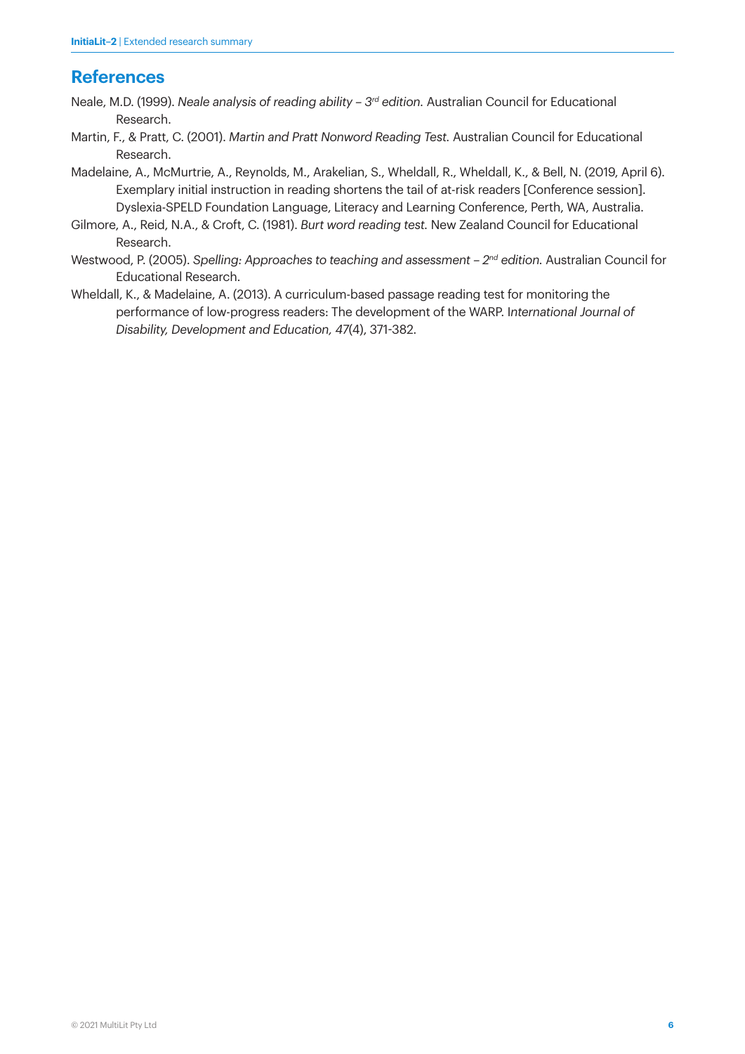# **References**

- Neale, M.D. (1999). *Neale analysis of reading ability 3rd edition.* Australian Council for Educational Research.
- Martin, F., & Pratt, C. (2001). *Martin and Pratt Nonword Reading Test.* Australian Council for Educational Research.
- Madelaine, A., McMurtrie, A., Reynolds, M., Arakelian, S., Wheldall, R., Wheldall, K., & Bell, N. (2019, April 6). Exemplary initial instruction in reading shortens the tail of at-risk readers [Conference session]. Dyslexia-SPELD Foundation Language, Literacy and Learning Conference, Perth, WA, Australia.
- Gilmore, A., Reid, N.A., & Croft, C. (1981). *Burt word reading test.* New Zealand Council for Educational Research.
- Westwood, P. (2005). *Spelling: Approaches to teaching and assessment 2nd edition.* Australian Council for Educational Research.
- Wheldall, K., & Madelaine, A. (2013). A curriculum-based passage reading test for monitoring the performance of low-progress readers: The development of the WARP. I*nternational Journal of Disability, Development and Education, 47*(4), 371-382.